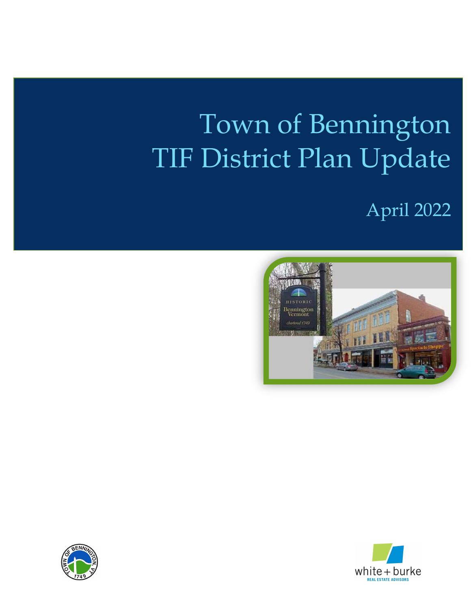# Town of Bennington TIF District Plan Update





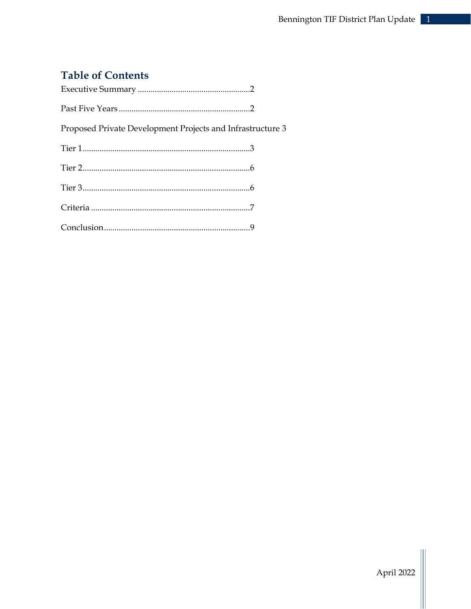# **Table of Contents**

| Proposed Private Development Projects and Infrastructure 3 |  |
|------------------------------------------------------------|--|
|                                                            |  |
|                                                            |  |
|                                                            |  |
|                                                            |  |
|                                                            |  |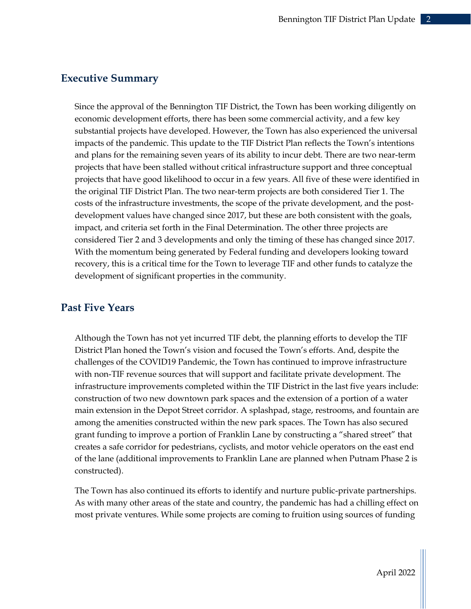# Executive Summary

Since the approval of the Bennington TIF District, the Town has been working diligently on economic development efforts, there has been some commercial activity, and a few key substantial projects have developed. However, the Town has also experienced the universal impacts of the pandemic. This update to the TIF District Plan reflects the Town's intentions and plans for the remaining seven years of its ability to incur debt. There are two near-term projects that have been stalled without critical infrastructure support and three conceptual projects that have good likelihood to occur in a few years. All five of these were identified in the original TIF District Plan. The two near-term projects are both considered Tier 1. The costs of the infrastructure investments, the scope of the private development, and the postdevelopment values have changed since 2017, but these are both consistent with the goals, impact, and criteria set forth in the Final Determination. The other three projects are considered Tier 2 and 3 developments and only the timing of these has changed since 2017. With the momentum being generated by Federal funding and developers looking toward recovery, this is a critical time for the Town to leverage TIF and other funds to catalyze the development of significant properties in the community.

# Past Five Years

Although the Town has not yet incurred TIF debt, the planning efforts to develop the TIF District Plan honed the Town's vision and focused the Town's efforts. And, despite the challenges of the COVID19 Pandemic, the Town has continued to improve infrastructure with non-TIF revenue sources that will support and facilitate private development. The infrastructure improvements completed within the TIF District in the last five years include: construction of two new downtown park spaces and the extension of a portion of a water main extension in the Depot Street corridor. A splashpad, stage, restrooms, and fountain are among the amenities constructed within the new park spaces. The Town has also secured grant funding to improve a portion of Franklin Lane by constructing a "shared street" that creates a safe corridor for pedestrians, cyclists, and motor vehicle operators on the east end of the lane (additional improvements to Franklin Lane are planned when Putnam Phase 2 is constructed).

The Town has also continued its efforts to identify and nurture public-private partnerships. As with many other areas of the state and country, the pandemic has had a chilling effect on most private ventures. While some projects are coming to fruition using sources of funding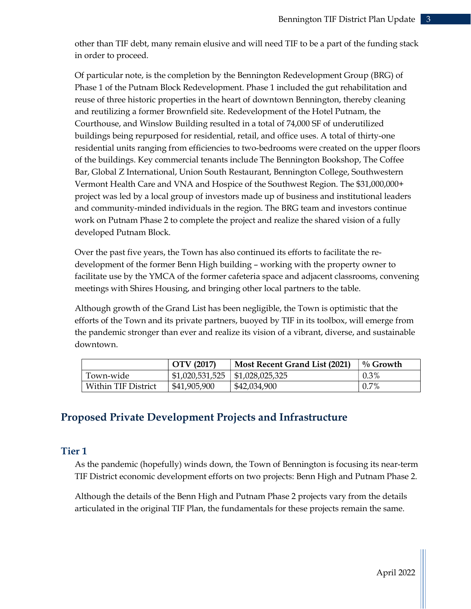other than TIF debt, many remain elusive and will need TIF to be a part of the funding stack in order to proceed.

Of particular note, is the completion by the Bennington Redevelopment Group (BRG) of Phase 1 of the Putnam Block Redevelopment. Phase 1 included the gut rehabilitation and reuse of three historic properties in the heart of downtown Bennington, thereby cleaning and reutilizing a former Brownfield site. Redevelopment of the Hotel Putnam, the Courthouse, and Winslow Building resulted in a total of 74,000 SF of underutilized buildings being repurposed for residential, retail, and office uses. A total of thirty-one residential units ranging from efficiencies to two-bedrooms were created on the upper floors of the buildings. Key commercial tenants include The Bennington Bookshop, The Coffee Bar, Global Z International, Union South Restaurant, Bennington College, Southwestern Vermont Health Care and VNA and Hospice of the Southwest Region. The \$31,000,000+ project was led by a local group of investors made up of business and institutional leaders and community-minded individuals in the region. The BRG team and investors continue work on Putnam Phase 2 to complete the project and realize the shared vision of a fully developed Putnam Block.

Over the past five years, the Town has also continued its efforts to facilitate the redevelopment of the former Benn High building – working with the property owner to facilitate use by the YMCA of the former cafeteria space and adjacent classrooms, convening meetings with Shires Housing, and bringing other local partners to the table.

Although growth of the Grand List has been negligible, the Town is optimistic that the efforts of the Town and its private partners, buoyed by TIF in its toolbox, will emerge from the pandemic stronger than ever and realize its vision of a vibrant, diverse, and sustainable downtown.

|                     | OTV (2017)      | Most Recent Grand List (2021) | $\%$ Growth |
|---------------------|-----------------|-------------------------------|-------------|
| Town-wide           | \$1,020,531,525 | $\vert$ \$1,028,025,325       | $0.3\%$     |
| Within TIF District | \$41,905,900    | \$42,034,900                  | $0.7\%$     |

# Proposed Private Development Projects and Infrastructure

# Tier 1

As the pandemic (hopefully) winds down, the Town of Bennington is focusing its near-term TIF District economic development efforts on two projects: Benn High and Putnam Phase 2.

Although the details of the Benn High and Putnam Phase 2 projects vary from the details articulated in the original TIF Plan, the fundamentals for these projects remain the same.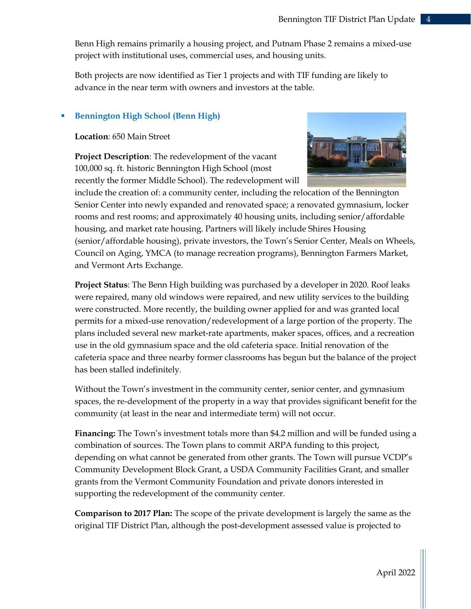Benn High remains primarily a housing project, and Putnam Phase 2 remains a mixed-use project with institutional uses, commercial uses, and housing units.

Both projects are now identified as Tier 1 projects and with TIF funding are likely to advance in the near term with owners and investors at the table.

## Bennington High School (Benn High)

Location: 650 Main Street

Project Description: The redevelopment of the vacant 100,000 sq. ft. historic Bennington High School (most recently the former Middle School). The redevelopment will



include the creation of: a community center, including the relocation of the Bennington Senior Center into newly expanded and renovated space; a renovated gymnasium, locker rooms and rest rooms; and approximately 40 housing units, including senior/affordable housing, and market rate housing. Partners will likely include Shires Housing (senior/affordable housing), private investors, the Town's Senior Center, Meals on Wheels, Council on Aging, YMCA (to manage recreation programs), Bennington Farmers Market, and Vermont Arts Exchange.

Project Status: The Benn High building was purchased by a developer in 2020. Roof leaks were repaired, many old windows were repaired, and new utility services to the building were constructed. More recently, the building owner applied for and was granted local permits for a mixed-use renovation/redevelopment of a large portion of the property. The plans included several new market-rate apartments, maker spaces, offices, and a recreation use in the old gymnasium space and the old cafeteria space. Initial renovation of the cafeteria space and three nearby former classrooms has begun but the balance of the project has been stalled indefinitely.

Without the Town's investment in the community center, senior center, and gymnasium spaces, the re-development of the property in a way that provides significant benefit for the community (at least in the near and intermediate term) will not occur.

Financing: The Town's investment totals more than \$4.2 million and will be funded using a combination of sources. The Town plans to commit ARPA funding to this project, depending on what cannot be generated from other grants. The Town will pursue VCDP's Community Development Block Grant, a USDA Community Facilities Grant, and smaller grants from the Vermont Community Foundation and private donors interested in supporting the redevelopment of the community center.

Comparison to 2017 Plan: The scope of the private development is largely the same as the original TIF District Plan, although the post-development assessed value is projected to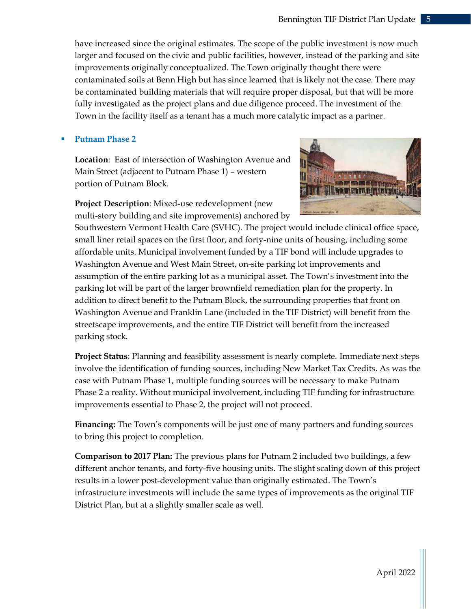have increased since the original estimates. The scope of the public investment is now much larger and focused on the civic and public facilities, however, instead of the parking and site improvements originally conceptualized. The Town originally thought there were contaminated soils at Benn High but has since learned that is likely not the case. There may be contaminated building materials that will require proper disposal, but that will be more fully investigated as the project plans and due diligence proceed. The investment of the Town in the facility itself as a tenant has a much more catalytic impact as a partner.

## Putnam Phase 2

Location: East of intersection of Washington Avenue and Main Street (adjacent to Putnam Phase 1) – western portion of Putnam Block.

Project Description: Mixed-use redevelopment (new multi-story building and site improvements) anchored by



Southwestern Vermont Health Care (SVHC). The project would include clinical office space, small liner retail spaces on the first floor, and forty-nine units of housing, including some affordable units. Municipal involvement funded by a TIF bond will include upgrades to Washington Avenue and West Main Street, on-site parking lot improvements and assumption of the entire parking lot as a municipal asset. The Town's investment into the parking lot will be part of the larger brownfield remediation plan for the property. In addition to direct benefit to the Putnam Block, the surrounding properties that front on Washington Avenue and Franklin Lane (included in the TIF District) will benefit from the streetscape improvements, and the entire TIF District will benefit from the increased parking stock.

Project Status: Planning and feasibility assessment is nearly complete. Immediate next steps involve the identification of funding sources, including New Market Tax Credits. As was the case with Putnam Phase 1, multiple funding sources will be necessary to make Putnam Phase 2 a reality. Without municipal involvement, including TIF funding for infrastructure improvements essential to Phase 2, the project will not proceed.

Financing: The Town's components will be just one of many partners and funding sources to bring this project to completion.

Comparison to 2017 Plan: The previous plans for Putnam 2 included two buildings, a few different anchor tenants, and forty-five housing units. The slight scaling down of this project results in a lower post-development value than originally estimated. The Town's infrastructure investments will include the same types of improvements as the original TIF District Plan, but at a slightly smaller scale as well.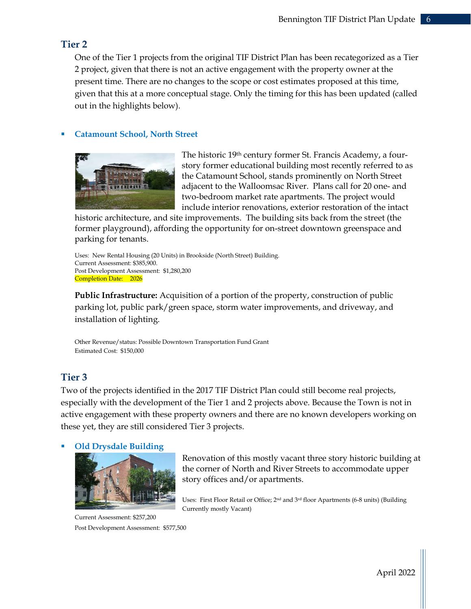# Tier 2

One of the Tier 1 projects from the original TIF District Plan has been recategorized as a Tier 2 project, given that there is not an active engagement with the property owner at the present time. There are no changes to the scope or cost estimates proposed at this time, given that this at a more conceptual stage. Only the timing for this has been updated (called out in the highlights below).

## Catamount School, North Street



The historic 19<sup>th</sup> century former St. Francis Academy, a fourstory former educational building most recently referred to as the Catamount School, stands prominently on North Street adjacent to the Walloomsac River. Plans call for 20 one- and two-bedroom market rate apartments. The project would include interior renovations, exterior restoration of the intact

historic architecture, and site improvements. The building sits back from the street (the former playground), affording the opportunity for on-street downtown greenspace and parking for tenants.

Uses: New Rental Housing (20 Units) in Brookside (North Street) Building. Current Assessment: \$385,900. Post Development Assessment: \$1,280,200 Completion Date: 2026

Public Infrastructure: Acquisition of a portion of the property, construction of public parking lot, public park/green space, storm water improvements, and driveway, and installation of lighting.

Other Revenue/status: Possible Downtown Transportation Fund Grant Estimated Cost: \$150,000

# Tier 3

Two of the projects identified in the 2017 TIF District Plan could still become real projects, especially with the development of the Tier 1 and 2 projects above. Because the Town is not in active engagement with these property owners and there are no known developers working on these yet, they are still considered Tier 3 projects.

## Old Drysdale Building



 Current Assessment: \$257,200 Post Development Assessment: \$577,500

Renovation of this mostly vacant three story historic building at the corner of North and River Streets to accommodate upper story offices and/or apartments.

Uses: First Floor Retail or Office; 2nd and 3rd floor Apartments (6-8 units) (Building Currently mostly Vacant)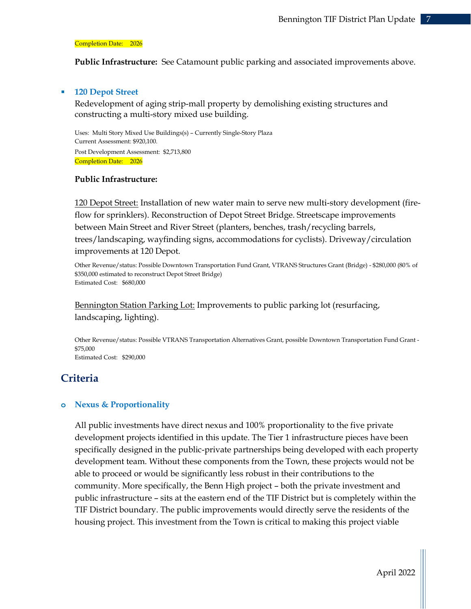#### Completion Date: 2026

Public Infrastructure: See Catamount public parking and associated improvements above.

#### **120 Depot Street**

Redevelopment of aging strip-mall property by demolishing existing structures and constructing a multi-story mixed use building.

 Uses: Multi Story Mixed Use Buildings(s) – Currently Single-Story Plaza Current Assessment: \$920,100. Post Development Assessment: \$2,713,800 Completion Date: 2026

#### Public Infrastructure:

120 Depot Street: Installation of new water main to serve new multi-story development (fireflow for sprinklers). Reconstruction of Depot Street Bridge. Streetscape improvements between Main Street and River Street (planters, benches, trash/recycling barrels, trees/landscaping, wayfinding signs, accommodations for cyclists). Driveway/circulation improvements at 120 Depot.

Other Revenue/status: Possible Downtown Transportation Fund Grant, VTRANS Structures Grant (Bridge) - \$280,000 (80% of \$350,000 estimated to reconstruct Depot Street Bridge) Estimated Cost: \$680,000

Bennington Station Parking Lot: Improvements to public parking lot (resurfacing, landscaping, lighting).

Other Revenue/status: Possible VTRANS Transportation Alternatives Grant, possible Downtown Transportation Fund Grant - \$75,000 Estimated Cost: \$290,000

# **Criteria**

#### o Nexus & Proportionality

All public investments have direct nexus and 100% proportionality to the five private development projects identified in this update. The Tier 1 infrastructure pieces have been specifically designed in the public-private partnerships being developed with each property development team. Without these components from the Town, these projects would not be able to proceed or would be significantly less robust in their contributions to the community. More specifically, the Benn High project – both the private investment and public infrastructure – sits at the eastern end of the TIF District but is completely within the TIF District boundary. The public improvements would directly serve the residents of the housing project. This investment from the Town is critical to making this project viable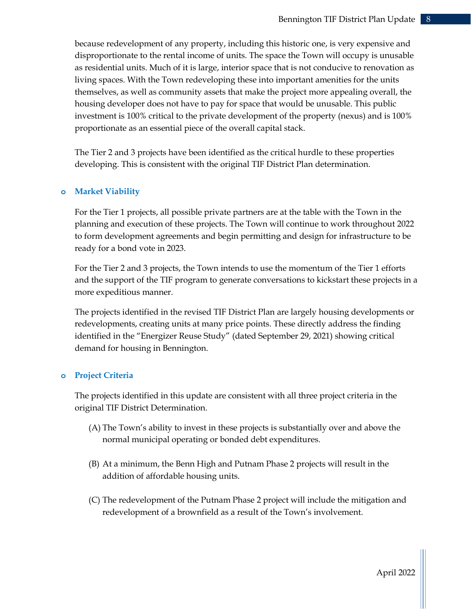because redevelopment of any property, including this historic one, is very expensive and disproportionate to the rental income of units. The space the Town will occupy is unusable as residential units. Much of it is large, interior space that is not conducive to renovation as living spaces. With the Town redeveloping these into important amenities for the units themselves, as well as community assets that make the project more appealing overall, the housing developer does not have to pay for space that would be unusable. This public investment is 100% critical to the private development of the property (nexus) and is 100% proportionate as an essential piece of the overall capital stack.

The Tier 2 and 3 projects have been identified as the critical hurdle to these properties developing. This is consistent with the original TIF District Plan determination.

## o Market Viability

For the Tier 1 projects, all possible private partners are at the table with the Town in the planning and execution of these projects. The Town will continue to work throughout 2022 to form development agreements and begin permitting and design for infrastructure to be ready for a bond vote in 2023.

For the Tier 2 and 3 projects, the Town intends to use the momentum of the Tier 1 efforts and the support of the TIF program to generate conversations to kickstart these projects in a more expeditious manner.

The projects identified in the revised TIF District Plan are largely housing developments or redevelopments, creating units at many price points. These directly address the finding identified in the "Energizer Reuse Study" (dated September 29, 2021) showing critical demand for housing in Bennington.

## o Project Criteria

The projects identified in this update are consistent with all three project criteria in the original TIF District Determination.

- (A) The Town's ability to invest in these projects is substantially over and above the normal municipal operating or bonded debt expenditures.
- (B) At a minimum, the Benn High and Putnam Phase 2 projects will result in the addition of affordable housing units.
- (C) The redevelopment of the Putnam Phase 2 project will include the mitigation and redevelopment of a brownfield as a result of the Town's involvement.